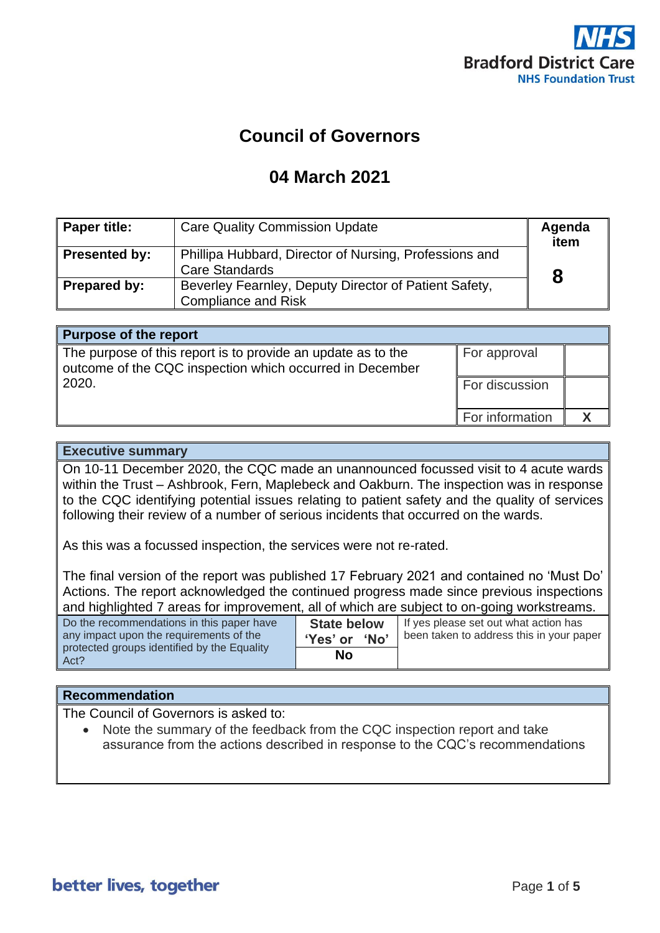

# **Council of Governors**

# **04 March 2021**

| Paper title:  | <b>Care Quality Commission Update</b>                                               | Agenda<br>item |
|---------------|-------------------------------------------------------------------------------------|----------------|
| Presented by: | Phillipa Hubbard, Director of Nursing, Professions and<br><b>Care Standards</b>     |                |
| Prepared by:  | Beverley Fearnley, Deputy Director of Patient Safety,<br><b>Compliance and Risk</b> |                |

| <b>Purpose of the report</b>                                                                                             |                 |  |
|--------------------------------------------------------------------------------------------------------------------------|-----------------|--|
| The purpose of this report is to provide an update as to the<br>outcome of the CQC inspection which occurred in December | For approval    |  |
| 2020.                                                                                                                    | For discussion  |  |
|                                                                                                                          | For information |  |

### **Executive summary**

On 10-11 December 2020, the CQC made an unannounced focussed visit to 4 acute wards within the Trust – Ashbrook, Fern, Maplebeck and Oakburn. The inspection was in response to the CQC identifying potential issues relating to patient safety and the quality of services following their review of a number of serious incidents that occurred on the wards.

As this was a focussed inspection, the services were not re-rated.

The final version of the report was published 17 February 2021 and contained no 'Must Do' Actions. The report acknowledged the continued progress made since previous inspections and highlighted 7 areas for improvement, all of which are subject to on-going workstreams.

| Do the recommendations in this paper have<br>any impact upon the requirements of the | <b>State below</b><br><b>No</b><br>'Yes' or | If yes please set out what action has<br>been taken to address this in your paper |
|--------------------------------------------------------------------------------------|---------------------------------------------|-----------------------------------------------------------------------------------|
| protected groups identified by the Equality<br>Act?                                  | No                                          |                                                                                   |

### **Recommendation**

The Council of Governors is asked to:

• Note the summary of the feedback from the CQC inspection report and take assurance from the actions described in response to the CQC's recommendations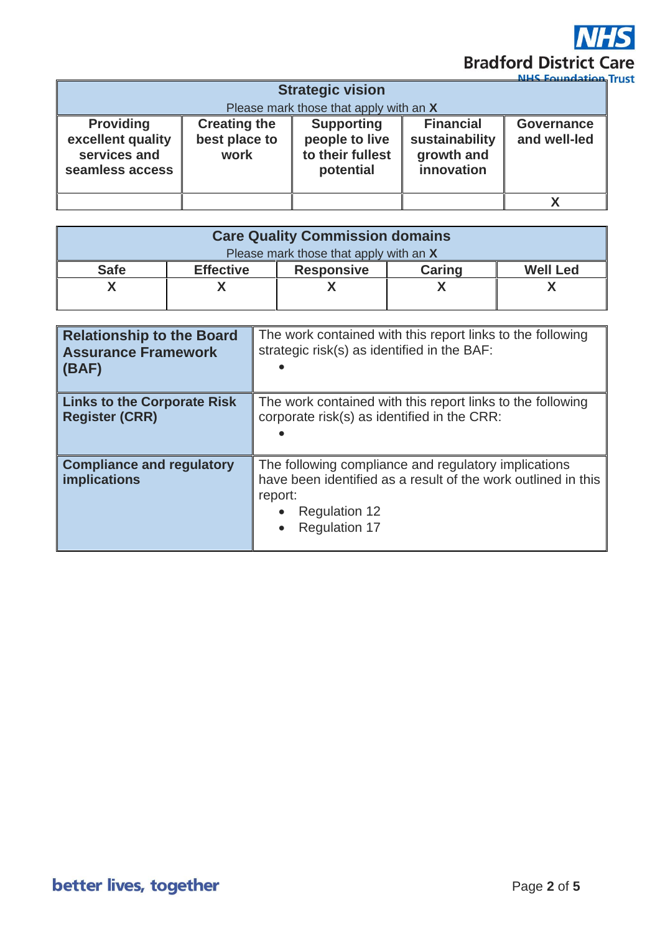

|                                                                          |                                              |                                                                      |                                                                | мех вошлавного             |
|--------------------------------------------------------------------------|----------------------------------------------|----------------------------------------------------------------------|----------------------------------------------------------------|----------------------------|
| <b>Strategic vision</b>                                                  |                                              |                                                                      |                                                                |                            |
|                                                                          | Please mark those that apply with an X       |                                                                      |                                                                |                            |
| <b>Providing</b><br>excellent quality<br>services and<br>seamless access | <b>Creating the</b><br>best place to<br>work | <b>Supporting</b><br>people to live<br>to their fullest<br>potential | <b>Financial</b><br>sustainability<br>growth and<br>innovation | Governance<br>and well-led |
|                                                                          |                                              |                                                                      |                                                                |                            |

| <b>Care Quality Commission domains</b> |                  |                   |               |                 |
|----------------------------------------|------------------|-------------------|---------------|-----------------|
| Please mark those that apply with an X |                  |                   |               |                 |
| <b>Safe</b>                            | <b>Effective</b> | <b>Responsive</b> | <b>Caring</b> | <b>Well Led</b> |
|                                        |                  |                   |               |                 |
|                                        |                  |                   |               |                 |

| <b>Relationship to the Board</b><br><b>Assurance Framework</b><br>  (BAF) | The work contained with this report links to the following<br>strategic risk(s) as identified in the BAF:                                                                        |  |
|---------------------------------------------------------------------------|----------------------------------------------------------------------------------------------------------------------------------------------------------------------------------|--|
| Links to the Corporate Risk<br><b>Register (CRR)</b>                      | The work contained with this report links to the following<br>corporate risk(s) as identified in the CRR:                                                                        |  |
| Compliance and regulatory<br>implications                                 | The following compliance and regulatory implications<br>have been identified as a result of the work outlined in this<br>report:<br><b>Regulation 12</b><br><b>Regulation 17</b> |  |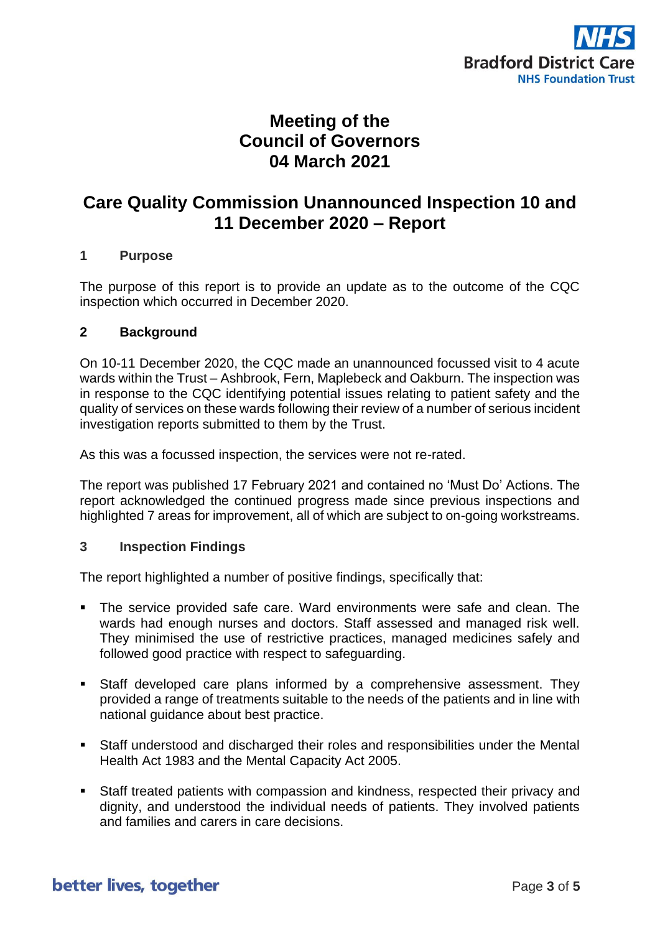

## **Meeting of the Council of Governors 04 March 2021**

## **Care Quality Commission Unannounced Inspection 10 and 11 December 2020 – Report**

#### **1 Purpose**

The purpose of this report is to provide an update as to the outcome of the CQC inspection which occurred in December 2020.

#### **2 Background**

On 10-11 December 2020, the CQC made an unannounced focussed visit to 4 acute wards within the Trust – Ashbrook, Fern, Maplebeck and Oakburn. The inspection was in response to the CQC identifying potential issues relating to patient safety and the quality of services on these wards following their review of a number of serious incident investigation reports submitted to them by the Trust.

As this was a focussed inspection, the services were not re-rated.

The report was published 17 February 2021 and contained no 'Must Do' Actions. The report acknowledged the continued progress made since previous inspections and highlighted 7 areas for improvement, all of which are subject to on-going workstreams.

#### **3 Inspection Findings**

The report highlighted a number of positive findings, specifically that:

- The service provided safe care. Ward environments were safe and clean. The wards had enough nurses and doctors. Staff assessed and managed risk well. They minimised the use of restrictive practices, managed medicines safely and followed good practice with respect to safeguarding.
- Staff developed care plans informed by a comprehensive assessment. They provided a range of treatments suitable to the needs of the patients and in line with national guidance about best practice.
- Staff understood and discharged their roles and responsibilities under the Mental Health Act 1983 and the Mental Capacity Act 2005.
- Staff treated patients with compassion and kindness, respected their privacy and dignity, and understood the individual needs of patients. They involved patients and families and carers in care decisions.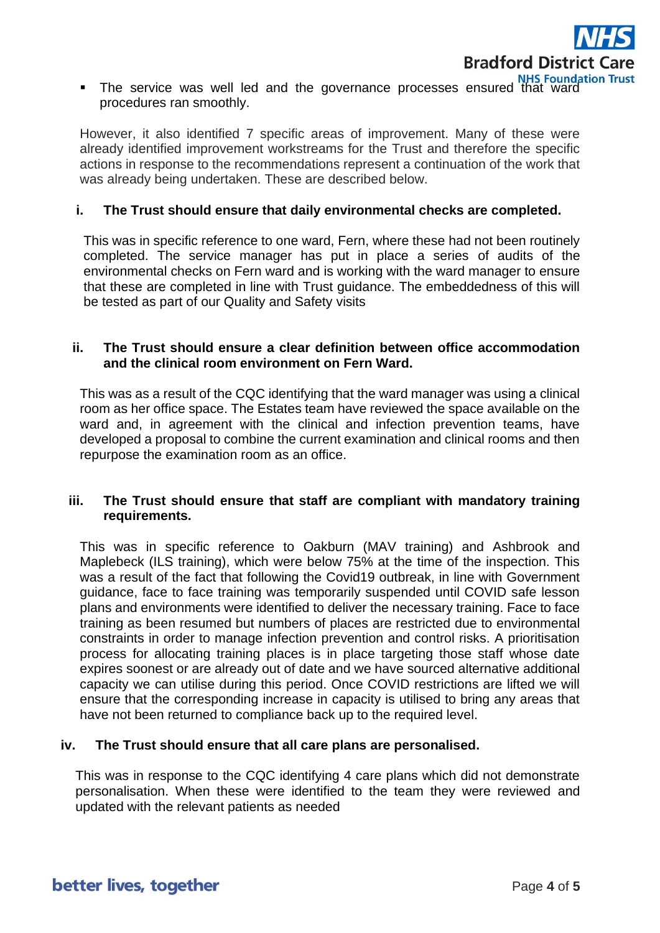

■ The service was well led and the governance processes ensured that ward procedures ran smoothly.

However, it also identified 7 specific areas of improvement. Many of these were already identified improvement workstreams for the Trust and therefore the specific actions in response to the recommendations represent a continuation of the work that was already being undertaken. These are described below.

#### **i. The Trust should ensure that daily environmental checks are completed.**

This was in specific reference to one ward, Fern, where these had not been routinely completed. The service manager has put in place a series of audits of the environmental checks on Fern ward and is working with the ward manager to ensure that these are completed in line with Trust guidance. The embeddedness of this will be tested as part of our Quality and Safety visits

#### **ii. The Trust should ensure a clear definition between office accommodation and the clinical room environment on Fern Ward.**

This was as a result of the CQC identifying that the ward manager was using a clinical room as her office space. The Estates team have reviewed the space available on the ward and, in agreement with the clinical and infection prevention teams, have developed a proposal to combine the current examination and clinical rooms and then repurpose the examination room as an office.

### **iii. The Trust should ensure that staff are compliant with mandatory training requirements.**

This was in specific reference to Oakburn (MAV training) and Ashbrook and Maplebeck (ILS training), which were below 75% at the time of the inspection. This was a result of the fact that following the Covid19 outbreak, in line with Government guidance, face to face training was temporarily suspended until COVID safe lesson plans and environments were identified to deliver the necessary training. Face to face training as been resumed but numbers of places are restricted due to environmental constraints in order to manage infection prevention and control risks. A prioritisation process for allocating training places is in place targeting those staff whose date expires soonest or are already out of date and we have sourced alternative additional capacity we can utilise during this period. Once COVID restrictions are lifted we will ensure that the corresponding increase in capacity is utilised to bring any areas that have not been returned to compliance back up to the required level.

### **iv. The Trust should ensure that all care plans are personalised.**

This was in response to the CQC identifying 4 care plans which did not demonstrate personalisation. When these were identified to the team they were reviewed and updated with the relevant patients as needed